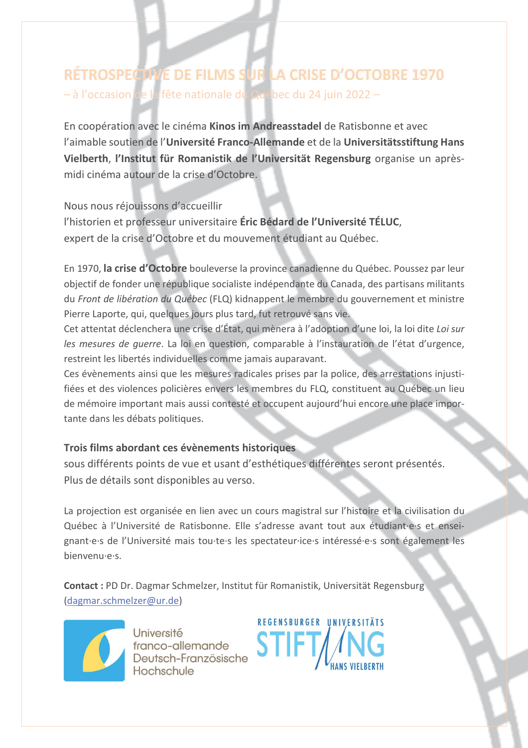# RÉTROSPECTIVE DE FILMS SUR LA CRISE D'OCTOBRE 1970 - à l'occasion de la fête nationale du Québec du 24 juin 2022 -

En coopération avec le cinéma Kinos im Andreasstadel de Ratisbonne et avec l'aimable soutien de l'Université Franco-Allemande et de la Universitätsstiftung Hans Vielberth, l'Institut für Romanistik de l'Universität Regensburg organise un aprèsmidi cinéma autour de la crise d'Octobre.

Nous nous réjouissons d'accueillir l'historien et professeur universitaire Eric Bédard de l'Université TÉLUC. expert de la crise d'Octobre et du mouvement étudiant au Québec.

En 1970, la crise d'Octobre bouleverse la province canadienne du Québec. Poussez par leur objectif de fonder une république socialiste indépendante du Canada, des partisans militants du Front de libération du Québec (FLQ) kidnappent le membre du gouvernement et ministre Pierre Laporte, qui, quelques jours plus tard, fut retrouvé sans vie.

Cet attentat déclenchera une crise d'État, qui mènera à l'adoption d'une loi, la loi dite Loi sur les mesures de querre. La loi en question, comparable à l'instauration de l'état d'urgence, restreint les libertés individuelles comme jamais auparavant.

Ces évènements ainsi que les mesures radicales prises par la police, des arrestations injustifiées et des violences policières envers les membres du FLQ, constituent au Québec un lieu de mémoire important mais aussi contesté et occupent aujourd'hui encore une place importante dans les débats politiques.

## Trois films abordant ces évènements historiques

sous différents points de vue et usant d'esthétiques différentes seront présentés. Plus de détails sont disponibles au verso.

La projection est organisée en lien avec un cours magistral sur l'histoire et la civilisation du Québec à l'Université de Ratisbonne. Elle s'adresse avant tout aux étudiant es et enseignant e s de l'Université mais tou te s les spectateur ice s intéressé e s sont également les bienvenu e s.

Contact : PD Dr. Dagmar Schmelzer, Institut für Romanistik, Universität Regensburg (dagmar.schmelzer@ur.de)



Université franco-allemande Deutsch-Französische Hochschule